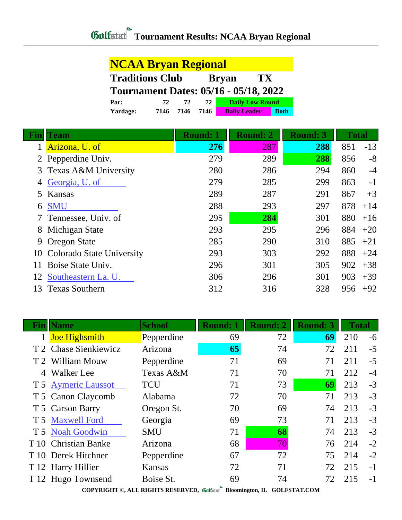| <b>NCAA Bryan Regional</b>                   |      |      |      |                     |                        |             |
|----------------------------------------------|------|------|------|---------------------|------------------------|-------------|
| <b>Traditions Club</b>                       |      |      |      | <b>Bryan</b>        | TX                     |             |
| <b>Tournament Dates: 05/16 - 05/18, 2022</b> |      |      |      |                     |                        |             |
| Par:                                         | 72   | 72   | 72.  |                     | <b>Daily Low Round</b> |             |
| Yardage:                                     | 7146 | 7146 | 7146 | <b>Daily Leader</b> |                        | <b>Both</b> |

| Fin | <b>Team</b>                  | <b>Round: 1</b> | <b>Round: 2</b> | <b>Round: 3</b> | <b>Total</b> |       |
|-----|------------------------------|-----------------|-----------------|-----------------|--------------|-------|
|     | Arizona, U. of               | 276             | 287             | 288             | 851          | $-13$ |
|     | 2 Pepperdine Univ.           | 279             | 289             | 288             | 856          | $-8$  |
|     | 3 Texas A&M University       | 280             | 286             | 294             | 860          | $-4$  |
|     | Georgia, U. of               | 279             | 285             | 299             | 863          | $-1$  |
| 5   | Kansas                       | 289             | 287             | 291             | 867          | $+3$  |
| 6   | <b>SMU</b>                   | 288             | 293             | 297             | 878          | $+14$ |
|     | Tennessee, Univ. of          | 295             | 284             | 301             | 880          | $+16$ |
| 8   | Michigan State               | 293             | 295             | 296             | 884          | $+20$ |
| 9   | <b>Oregon State</b>          | 285             | 290             | 310             | 885          | $+21$ |
|     | 10 Colorado State University | 293             | 303             | 292             | 888          | $+24$ |
| 11  | Boise State Univ.            | 296             | 301             | 305             | 902          | $+38$ |
| 12  | Southeastern La. U.          | 306             | 296             | 301             | 903          | $+39$ |
| 13. | <b>Texas Southern</b>        | 312             | 316             | 328             | 956          | $+92$ |

|   | <b>Name</b>           | <b>School</b> | <b>Round: 1</b>    | <b>Round: 2</b> | <b>Round: 3</b> | <b>Total</b> |      |
|---|-----------------------|---------------|--------------------|-----------------|-----------------|--------------|------|
|   | <b>Joe Highsmith</b>  | Pepperdine    | 69                 | 72              | 69              | 210          | $-6$ |
|   | T 2 Chase Sienkiewicz | Arizona       | 65                 | 74              | 72              | 211          | $-5$ |
|   | T 2 William Mouw      | Pepperdine    | 71                 | 69              | 71              | 211          | $-5$ |
| 4 | <b>Walker</b> Lee     | Texas A&M     | 71                 | 70              | 71              | 212          | $-4$ |
|   | T 5 Aymeric Laussot   | <b>TCU</b>    | 71                 | 73              | 69              | 213          | $-3$ |
|   | T 5 Canon Claycomb    | Alabama       | 72                 | 70              | 71              | 213          | $-3$ |
|   | T 5 Carson Barry      | Oregon St.    | 70                 | 69              | 74              | 213          | $-3$ |
|   | T 5 Maxwell Ford      | Georgia       | 69                 | 73              | 71              | 213          | $-3$ |
|   | T 5 Noah Goodwin      | <b>SMU</b>    | 71                 | 68              | 74              | 213          | $-3$ |
|   | T 10 Christian Banke  | Arizona       | 68                 | 70              | 76              | 214          | $-2$ |
|   | T 10 Derek Hitchner   | Pepperdine    | 67                 | 72              | 75              | 214          | $-2$ |
|   | T 12 Harry Hillier    | Kansas        | 72                 | 71              | 72              | 215          | $-1$ |
|   | T 12 Hugo Townsend    | Boise St.     | 69<br>$\mathbf{a}$ | 74              | 72              | 215          | $-1$ |

**COPYRIGHT ©, ALL RIGHTS RESERVED, Bloomington, IL GOLFSTAT.COM**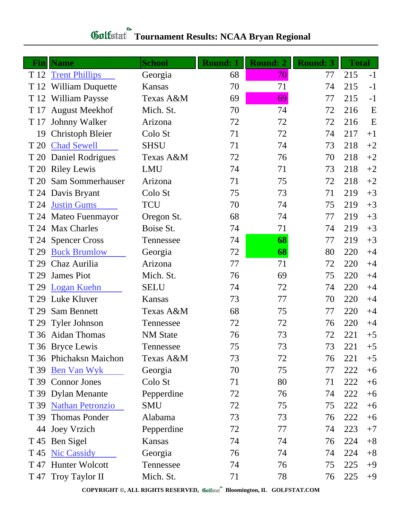## **Gulfatat** Tournament Results: NCAA Bryan Regional

| Finll | <b>Name</b>             | <b>School</b>   | <b>Round: 1</b> | <b>Round: 2</b> | <b>Round: 3</b> | <b>Total</b> |      |
|-------|-------------------------|-----------------|-----------------|-----------------|-----------------|--------------|------|
|       | T 12 Trent Phillips     | Georgia         | 68              | 70              | 77              | 215          | $-1$ |
|       | T 12 William Duquette   | Kansas          | 70              | 71              | 74              | 215          | $-1$ |
|       | T 12 William Paysse     | Texas A&M       | 69              | 69              | 77              | 215          | $-1$ |
| T 17  | <b>August Meekhof</b>   | Mich. St.       | 70              | 74              | 72              | 216          | E    |
| T 17  | <b>Johnny Walker</b>    | Arizona         | 72              | 72              | 72              | 216          | E    |
| 19    | <b>Christoph Bleier</b> | Colo St         | 71              | 72              | 74              | 217          | $+1$ |
|       | T 20 Chad Sewell        | <b>SHSU</b>     | 71              | 74              | 73              | 218          | $+2$ |
| T 20  | <b>Daniel Rodrigues</b> | Texas A&M       | 72              | 76              | 70              | 218          | $+2$ |
|       | T 20 Riley Lewis        | LMU             | 74              | 71              | 73              | 218          | $+2$ |
| T 20  | Sam Sommerhauser        | Arizona         | 71              | 75              | 72              | 218          | $+2$ |
|       | T 24 Davis Bryant       | Colo St         | 75              | 73              | 71              | 219          | $+3$ |
| T 24  | <b>Justin Gums</b>      | <b>TCU</b>      | 70              | 74              | 75              | 219          | $+3$ |
|       | T 24 Mateo Fuenmayor    | Oregon St.      | 68              | 74              | 77              | 219          | $+3$ |
|       | T 24 Max Charles        | Boise St.       | 74              | 71              | 74              | 219          | $+3$ |
|       | T 24 Spencer Cross      | Tennessee       | 74              | 68              | 77              | 219          | $+3$ |
| T 29  | <b>Buck Brumlow</b>     | Georgia         | 72              | 68              | 80              | 220          | $+4$ |
| T 29  | Chaz Aurilia            | Arizona         | 77              | 71              | 72              | 220          | $+4$ |
| T 29  | <b>James Piot</b>       | Mich. St.       | 76              | 69              | 75              | 220          | $+4$ |
| T 29  | <b>Logan Kuehn</b>      | <b>SELU</b>     | 74              | 72              | 74              | 220          | $+4$ |
| T 29  | Luke Kluver             | Kansas          | 73              | 77              | 70              | 220          | $+4$ |
| T 29  | Sam Bennett             | Texas A&M       | 68              | 75              | 77              | 220          | $+4$ |
| T 29  | <b>Tyler Johnson</b>    | Tennessee       | 72              | 72              | 76              | 220          | $+4$ |
|       | T 36 Aidan Thomas       | <b>NM</b> State | 76              | 73              | 72              | 221          | $+5$ |
|       | T 36 Bryce Lewis        | Tennessee       | 75              | 73              | 73              | 221          | $+5$ |
|       | T 36 Phichaksn Maichon  | Texas A&M       | 73              | 72              | 76              | 221          | $+5$ |
|       | T 39 <u>Ben Van Wyk</u> | Georgia         | 70              | 75              | 77              | 222          | $+6$ |
|       | T 39 Connor Jones       | Colo St         | 71              | 80              | 71              | 222          | $+6$ |
|       | T 39 Dylan Menante      | Pepperdine      | 72              | 76              | 74              | 222          | $+6$ |
|       | T 39 Nathan Petronzio   | <b>SMU</b>      | 72              | 75              | 75              | 222          | $+6$ |
|       | T 39 Thomas Ponder      | Alabama         | 73              | 73              | 76              | 222          | $+6$ |
|       | 44 Joey Vrzich          | Pepperdine      | 72              | 77              | 74              | 223          | $+7$ |
|       | T 45 Ben Sigel          | Kansas          | 74              | 74              | 76              | 224          | $+8$ |
| T 45  | <b>Nic Cassidy</b>      | Georgia         | 76              | 74              | 74              | 224          | $+8$ |
|       | T 47 Hunter Wolcott     | Tennessee       | 74              | 76              | 75              | 225          | $+9$ |
|       | T 47 Troy Taylor II     | Mich. St.       | 71              | 78              | 76              | 225          | $+9$ |

**COPYRIGHT ©, ALL RIGHTS RESERVED, Bloomington, IL GOLFSTAT.COM**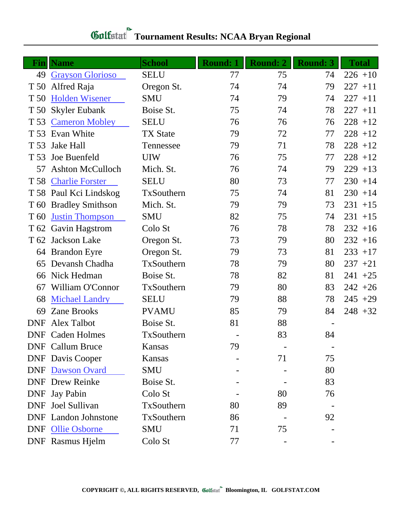|                 | <b>Fin</b>   Name           | <b>School</b>   | <b>Round: 1</b> | <b>Round: 2</b> | <b>Round: 3</b> | <b>Total</b> |
|-----------------|-----------------------------|-----------------|-----------------|-----------------|-----------------|--------------|
| 49              | <b>Grayson Glorioso</b>     | <b>SELU</b>     | 77              | 75              | 74              | $226 + 10$   |
| T 50            | Alfred Raja                 | Oregon St.      | 74              | 74              | 79              | $227 + 11$   |
| T 50            | Holden Wisener              | <b>SMU</b>      | 74              | 79              | 74              | $227 + 11$   |
| T 50            | <b>Skyler Eubank</b>        | Boise St.       | 75              | 74              | 78              | $227 + 11$   |
| T 53            | <b>Cameron Mobley</b>       | <b>SELU</b>     | 76              | 76              | 76              | $228 + 12$   |
| T 53            | Evan White                  | <b>TX State</b> | 79              | 72              | 77              | $228 + 12$   |
| T 53            | <b>Jake Hall</b>            | Tennessee       | 79              | 71              | 78              | $228 + 12$   |
| T 53            | Joe Buenfeld                | <b>UIW</b>      | 76              | 75              | 77              | $228 + 12$   |
| 57              | <b>Ashton McCulloch</b>     | Mich. St.       | 76              | 74              | 79              | $229 + 13$   |
| T 58            | <b>Charlie Forster</b>      | <b>SELU</b>     | 80              | 73              | 77              | $230 + 14$   |
|                 | T 58 Paul Kci Lindskog      | TxSouthern      | 75              | 74              | 81              | $230 + 14$   |
|                 | T 60 Bradley Smithson       | Mich. St.       | 79              | 79              | 73              | $231 + 15$   |
| T <sub>60</sub> | <b>Justin Thompson</b>      | <b>SMU</b>      | 82              | 75              | 74              | $231 + 15$   |
|                 | T 62 Gavin Hagstrom         | Colo St         | 76              | 78              | 78              | $232 + 16$   |
|                 | T 62 Jackson Lake           | Oregon St.      | 73              | 79              | 80              | $232 + 16$   |
|                 | 64 Brandon Eyre             | Oregon St.      | 79              | 73              | 81              | $233 + 17$   |
| 65              | Devansh Chadha              | TxSouthern      | 78              | 79              | 80              | $237 + 21$   |
| 66              | Nick Hedman                 | Boise St.       | 78              | 82              | 81              | $241 + 25$   |
| 67              | William O'Connor            | TxSouthern      | 79              | 80              | 83              | $242 + 26$   |
| 68              | <b>Michael Landry</b>       | <b>SELU</b>     | 79              | 88              | 78              | $245 + 29$   |
| 69              | <b>Zane Brooks</b>          | <b>PVAMU</b>    | 85              | 79              | 84              | $248 + 32$   |
| <b>DNF</b>      | <b>Alex Talbot</b>          | Boise St.       | 81              | 88              |                 |              |
|                 | <b>DNF</b> Caden Holmes     | TxSouthern      |                 | 83              | 84              |              |
|                 | <b>DNF</b> Callum Bruce     | Kansas          | 79              |                 |                 |              |
|                 | <b>DNF</b> Davis Cooper     | Kansas          |                 | 71              | 75              |              |
| <b>DNF</b>      | Dawson Ovard                | SMU             |                 |                 | 80              |              |
|                 | <b>DNF</b> Drew Reinke      | Boise St.       |                 |                 | 83              |              |
| <b>DNF</b>      | <b>Jay Pabin</b>            | Colo St         |                 | 80              | 76              |              |
| <b>DNF</b>      | Joel Sullivan               | TxSouthern      | 80              | 89              |                 |              |
|                 | <b>DNF</b> Landon Johnstone | TxSouthern      | 86              |                 | 92              |              |
|                 | DNF Ollie Osborne           | SMU             | 71              | 75              |                 |              |
|                 | DNF Rasmus Hjelm            | Colo St         | 77              |                 |                 |              |

## **Gulfatat** Tournament Results: NCAA Bryan Regional